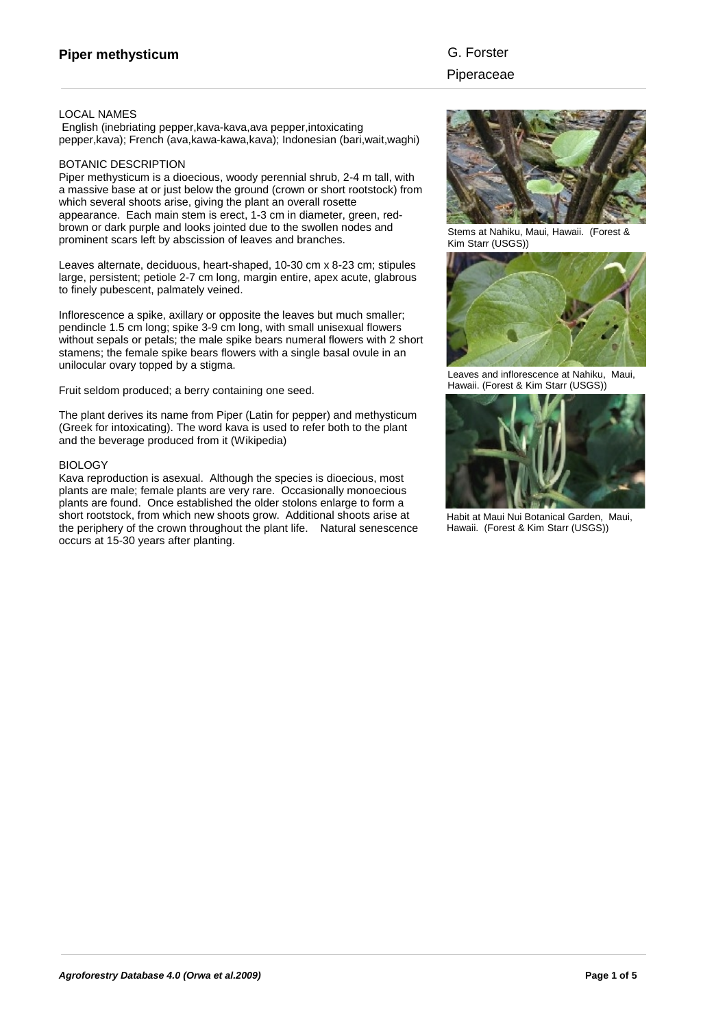### LOCAL NAMES

 English (inebriating pepper,kava-kava,ava pepper,intoxicating pepper,kava); French (ava,kawa-kawa,kava); Indonesian (bari,wait,waghi)

### BOTANIC DESCRIPTION

Piper methysticum is a dioecious, woody perennial shrub, 2-4 m tall, with a massive base at or just below the ground (crown or short rootstock) from which several shoots arise, giving the plant an overall rosette appearance. Each main stem is erect, 1-3 cm in diameter, green, redbrown or dark purple and looks jointed due to the swollen nodes and prominent scars left by abscission of leaves and branches.

Leaves alternate, deciduous, heart-shaped, 10-30 cm x 8-23 cm; stipules large, persistent; petiole 2-7 cm long, margin entire, apex acute, glabrous to finely pubescent, palmately veined.

Inflorescence a spike, axillary or opposite the leaves but much smaller; pendincle 1.5 cm long; spike 3-9 cm long, with small unisexual flowers without sepals or petals; the male spike bears numeral flowers with 2 short stamens; the female spike bears flowers with a single basal ovule in an unilocular ovary topped by a stigma.

Fruit seldom produced; a berry containing one seed.

The plant derives its name from Piper (Latin for pepper) and methysticum (Greek for intoxicating). The word kava is used to refer both to the plant and the beverage produced from it (Wikipedia)

### **BIOLOGY**

Kava reproduction is asexual. Although the species is dioecious, most plants are male; female plants are very rare. Occasionally monoecious plants are found. Once established the older stolons enlarge to form a short rootstock, from which new shoots grow. Additional shoots arise at the periphery of the crown throughout the plant life. Natural senescence occurs at 15-30 years after planting.



Stems at Nahiku, Maui, Hawaii. (Forest & Kim Starr (USGS))



Leaves and inflorescence at Nahiku, Maui, Hawaii. (Forest & Kim Starr (USGS))



Habit at Maui Nui Botanical Garden, Maui, Hawaii. (Forest & Kim Starr (USGS))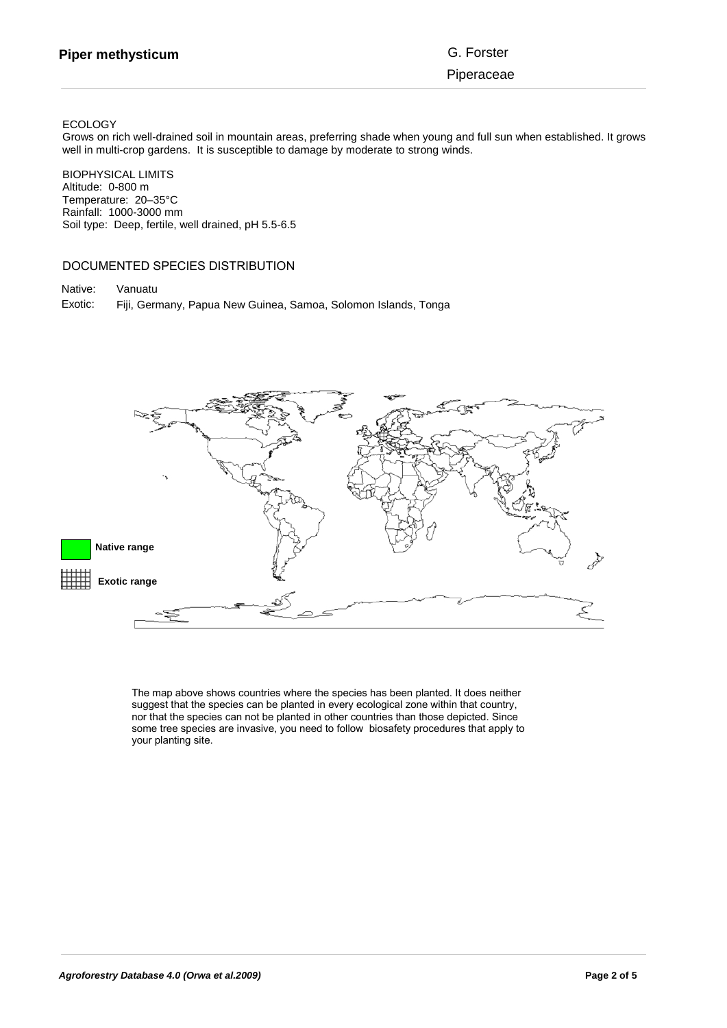### ECOLOGY

Grows on rich well-drained soil in mountain areas, preferring shade when young and full sun when established. It grows well in multi-crop gardens. It is susceptible to damage by moderate to strong winds.

BIOPHYSICAL LIMITS Altitude: 0-800 m Temperature: 20–35°C Rainfall: 1000-3000 mm Soil type: Deep, fertile, well drained, pH 5.5-6.5

# DOCUMENTED SPECIES DISTRIBUTION

Native: Vanuatu Fiji, Germany, Papua New Guinea, Samoa, Solomon Islands, Tonga Exotic:



The map above shows countries where the species has been planted. It does neither suggest that the species can be planted in every ecological zone within that country, nor that the species can not be planted in other countries than those depicted. Since some tree species are invasive, you need to follow biosafety procedures that apply to your planting site.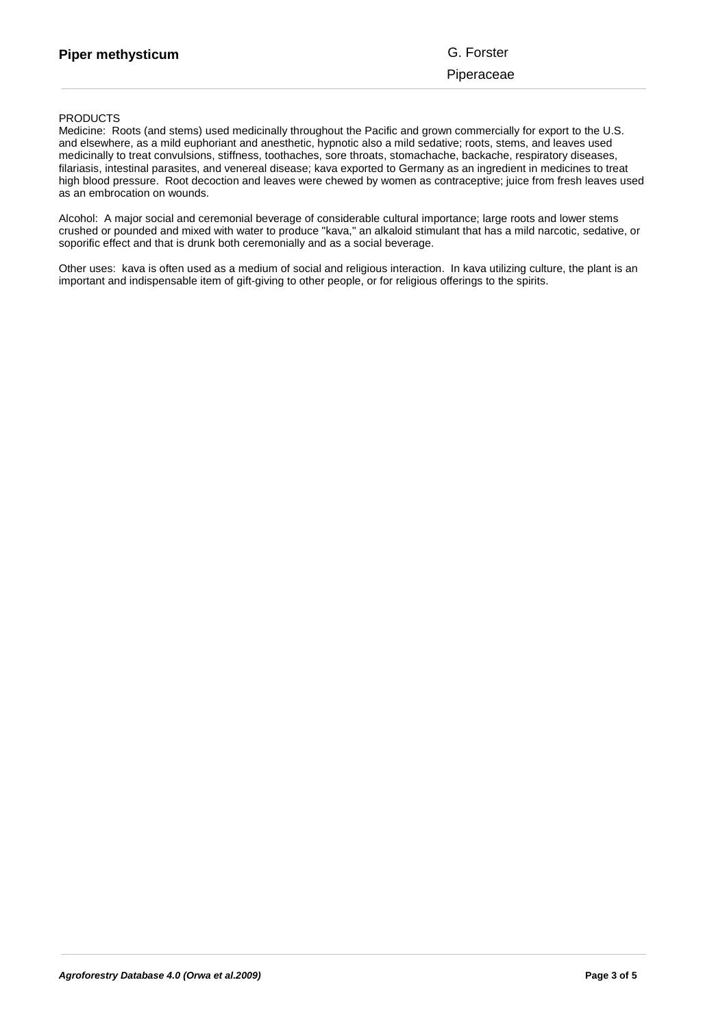**norm that the species can not be planted in other countries than the species of the species of the species of**  $s_{\text{S}}$ sicum

Piperaceae

## **PRODUCTS**

Medicine: Roots (and stems) used medicinally throughout the Pacific and grown commercially for export to the U.S. and elsewhere, as a mild euphoriant and anesthetic, hypnotic also a mild sedative; roots, stems, and leaves used medicinally to treat convulsions, stiffness, toothaches, sore throats, stomachache, backache, respiratory diseases, filariasis, intestinal parasites, and venereal disease; kava exported to Germany as an ingredient in medicines to treat high blood pressure. Root decoction and leaves were chewed by women as contraceptive; juice from fresh leaves used as an embrocation on wounds.

Alcohol: A major social and ceremonial beverage of considerable cultural importance; large roots and lower stems crushed or pounded and mixed with water to produce "kava," an alkaloid stimulant that has a mild narcotic, sedative, or soporific effect and that is drunk both ceremonially and as a social beverage.

Other uses: kava is often used as a medium of social and religious interaction. In kava utilizing culture, the plant is an important and indispensable item of gift-giving to other people, or for religious offerings to the spirits.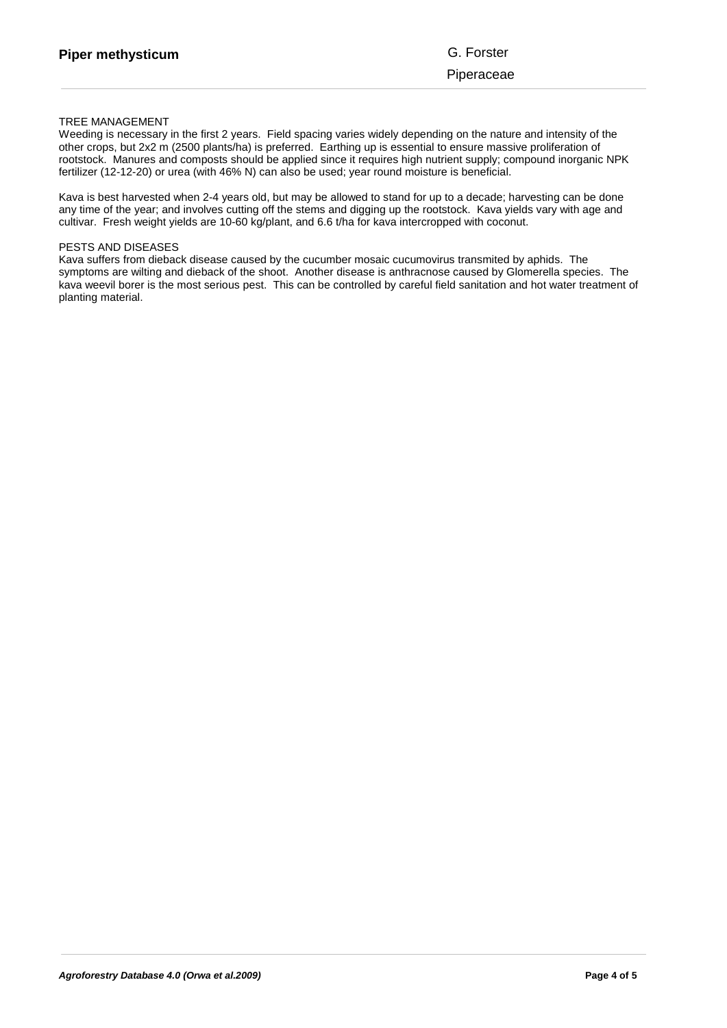# TREE MANAGEMENT

Weeding is necessary in the first 2 years. Field spacing varies widely depending on the nature and intensity of the other crops, but 2x2 m (2500 plants/ha) is preferred. Earthing up is essential to ensure massive proliferation of rootstock. Manures and composts should be applied since it requires high nutrient supply; compound inorganic NPK fertilizer (12-12-20) or urea (with 46% N) can also be used; year round moisture is beneficial.

Kava is best harvested when 2-4 years old, but may be allowed to stand for up to a decade; harvesting can be done any time of the year; and involves cutting off the stems and digging up the rootstock. Kava yields vary with age and cultivar. Fresh weight yields are 10-60 kg/plant, and 6.6 t/ha for kava intercropped with coconut.

#### PESTS AND DISEASES

Kava suffers from dieback disease caused by the cucumber mosaic cucumovirus transmited by aphids. The symptoms are wilting and dieback of the shoot. Another disease is anthracnose caused by Glomerella species. The kava weevil borer is the most serious pest. This can be controlled by careful field sanitation and hot water treatment of planting material.